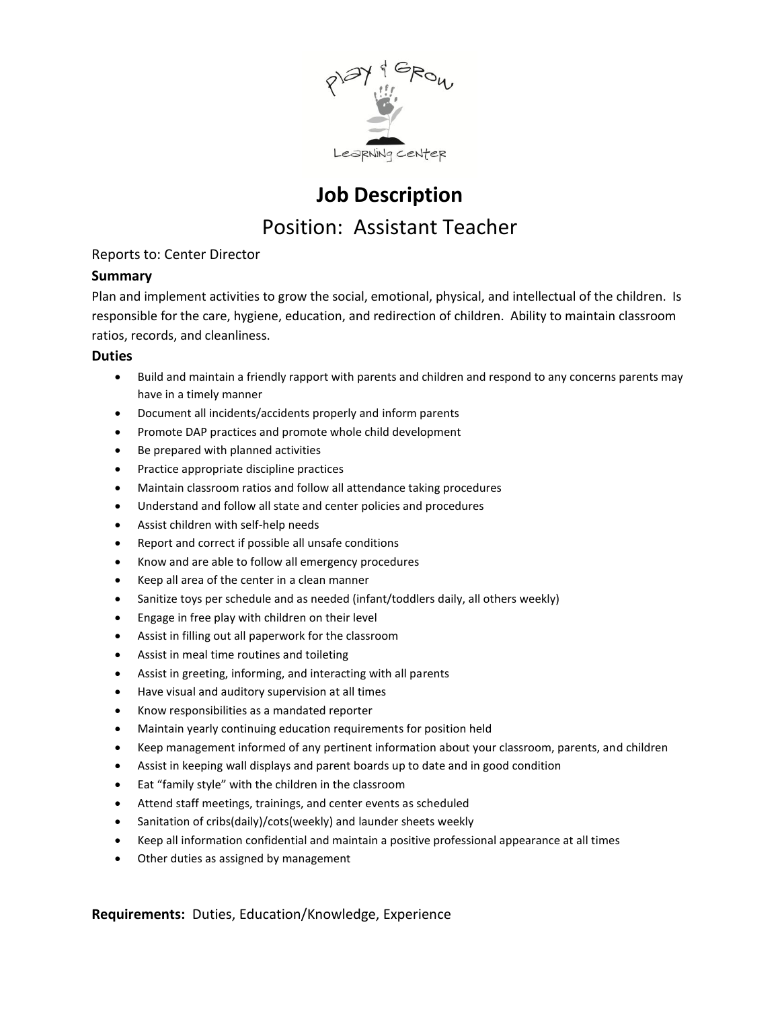

# **Job Description** Position: Assistant Teacher

## Reports to: Center Director

## **Summary**

Plan and implement activities to grow the social, emotional, physical, and intellectual of the children. Is responsible for the care, hygiene, education, and redirection of children. Ability to maintain classroom ratios, records, and cleanliness.

#### **Duties**

- Build and maintain a friendly rapport with parents and children and respond to any concerns parents may have in a timely manner
- Document all incidents/accidents properly and inform parents
- Promote DAP practices and promote whole child development
- Be prepared with planned activities
- Practice appropriate discipline practices
- Maintain classroom ratios and follow all attendance taking procedures
- Understand and follow all state and center policies and procedures
- Assist children with self-help needs
- Report and correct if possible all unsafe conditions
- Know and are able to follow all emergency procedures
- Keep all area of the center in a clean manner
- Sanitize toys per schedule and as needed (infant/toddlers daily, all others weekly)
- Engage in free play with children on their level
- Assist in filling out all paperwork for the classroom
- Assist in meal time routines and toileting
- Assist in greeting, informing, and interacting with all parents
- Have visual and auditory supervision at all times
- Know responsibilities as a mandated reporter
- Maintain yearly continuing education requirements for position held
- Keep management informed of any pertinent information about your classroom, parents, and children
- Assist in keeping wall displays and parent boards up to date and in good condition
- Eat "family style" with the children in the classroom
- Attend staff meetings, trainings, and center events as scheduled
- Sanitation of cribs(daily)/cots(weekly) and launder sheets weekly
- Keep all information confidential and maintain a positive professional appearance at all times
- Other duties as assigned by management

**Requirements:** Duties, Education/Knowledge, Experience